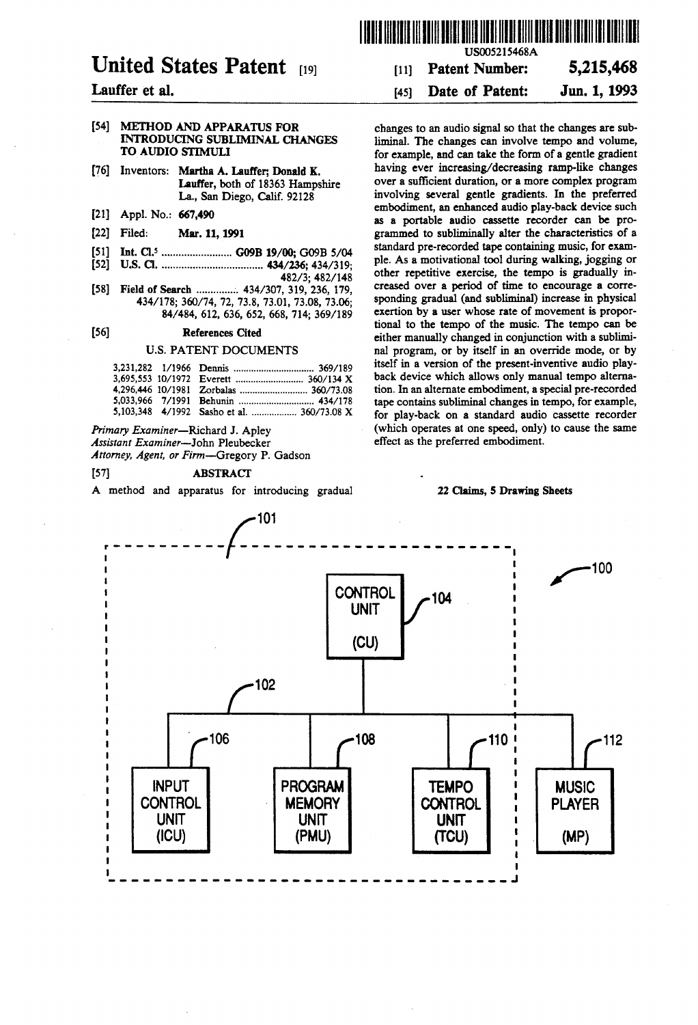# United States Patent (19)

# Lauffer et al.

#### [54] METHOD AND APPARATUS FOR INTRODUCING SUBLMINAL CHANGES TO AUDIO STIMULI

- [76] Inventors: Martha A. Lauffer; Donald K. Lauffer, both of 18363 Hampshire La., San Diego, Calif. 92128
- 21) Appl. No.: 667,490
- 22 Filed: Mar. 11, 1991
- 5ll Int. Cl.......................... G09B 19/00; G09B 5/04
- 52) U.S.C. .................................... 434/236; 434/319;
	- 482/3; 482/148
- 58) Field of Search .............. 434/307, 319, 236, 179, 434/178; 360/74, 72, 73.8, 73.01, 73.08, 73.06; 84/484, 612, 636,652, 668,714; 369/189

#### 56) References Cited

# U.S. PATENT DOCUMENTS

|  | 5,103,348 4/1992 Sasho et al.  360/73.08 X |  |
|--|--------------------------------------------|--|

Primary Examiner-Richard J. Apley<br>Assistant Examiner-John Pleubecker Attorney, Agent, or Firm-Gregory P. Gadson

#### 57 ABSTRACT

A method and apparatus for introducing gradual

USOOS215468A

# 11) Patent Number: 5,215,468

# 45) Date of Patent: Jun. 1, 1993

changes to an audio signal so that the changes are sub liminal. The changes can involve tempo and volume, for example, and can take the form of a gentle gradient having ever increasing/decreasing ramp-like changes over a sufficient duration, or a more complex program involving several gentle gradients. In the preferred embodiment, an enhanced audio play-back device such<br>as a portable audio cassette recorder can be programmed to subliminally alter the characteristics of a standard pre-recorded tape containing music, for exam ple. As a motivational tool during walking, jogging or other repetitive exercise, the tempo is gradually in creased over a period of time to encourage a corre exertion by a user whose rate of movement is proportional to the tempo of the music. The tempo can be either manually changed in conjunction with a subliminal program, or by itself in an override mode, or by itself in a version of the present-inventive audio playback device which allows only manual tempo alterna tion. In an alternate embodiment, a special pre-recorded tape contains subliminal changes in tempo, for example, for play-back on a standard audio cassette recorder (which operates at one speed, only) to cause the same effect as the preferred embodiment.

#### 22 Clains, 5 Drawing Sheets

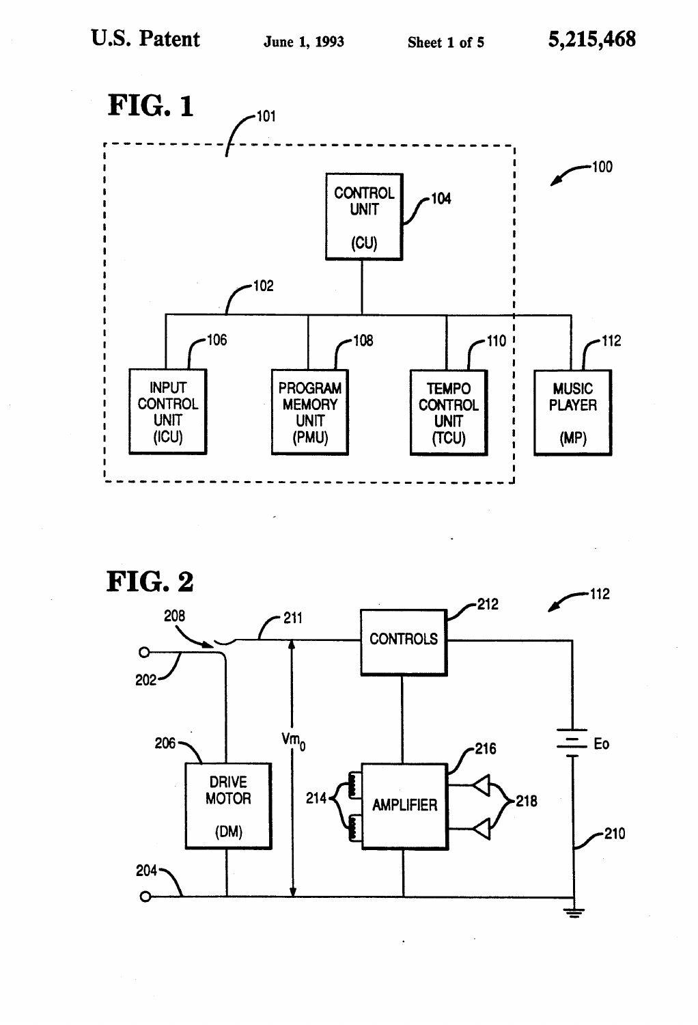



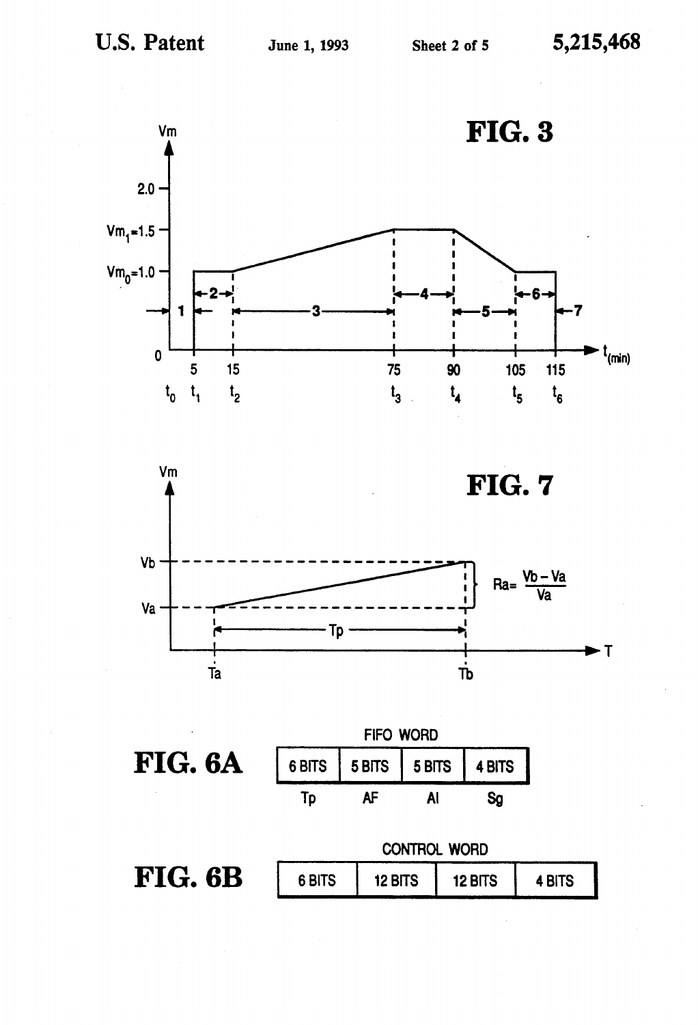



FIG. 6A



CONTROL WORD FIG. 6B 6 BITS 4 BITS 12 BITS 12 BITS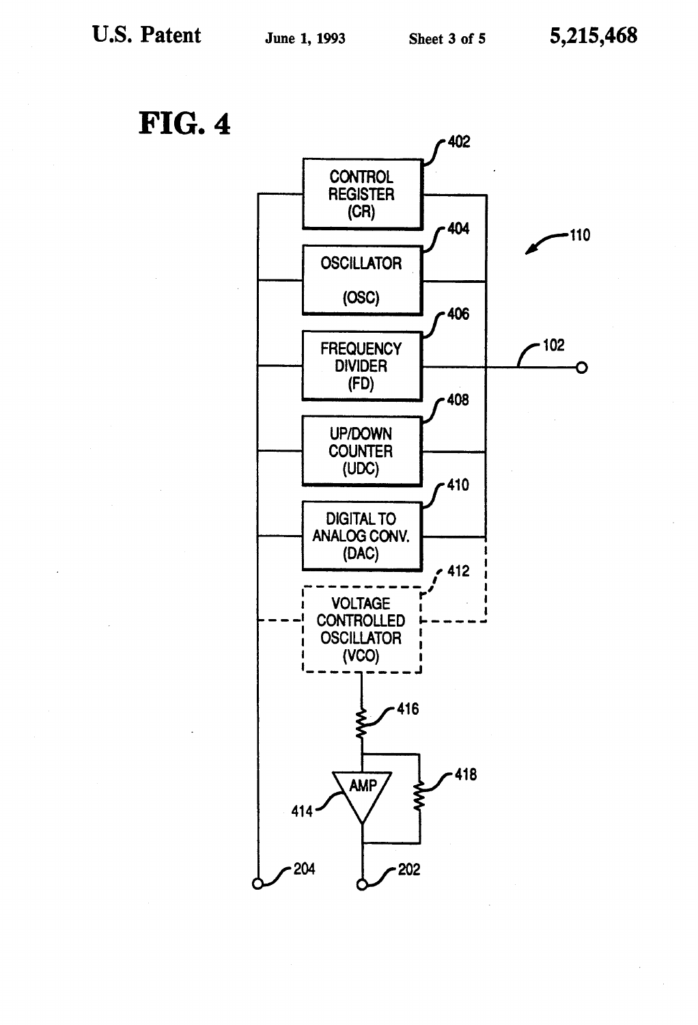**FIG. 4** 

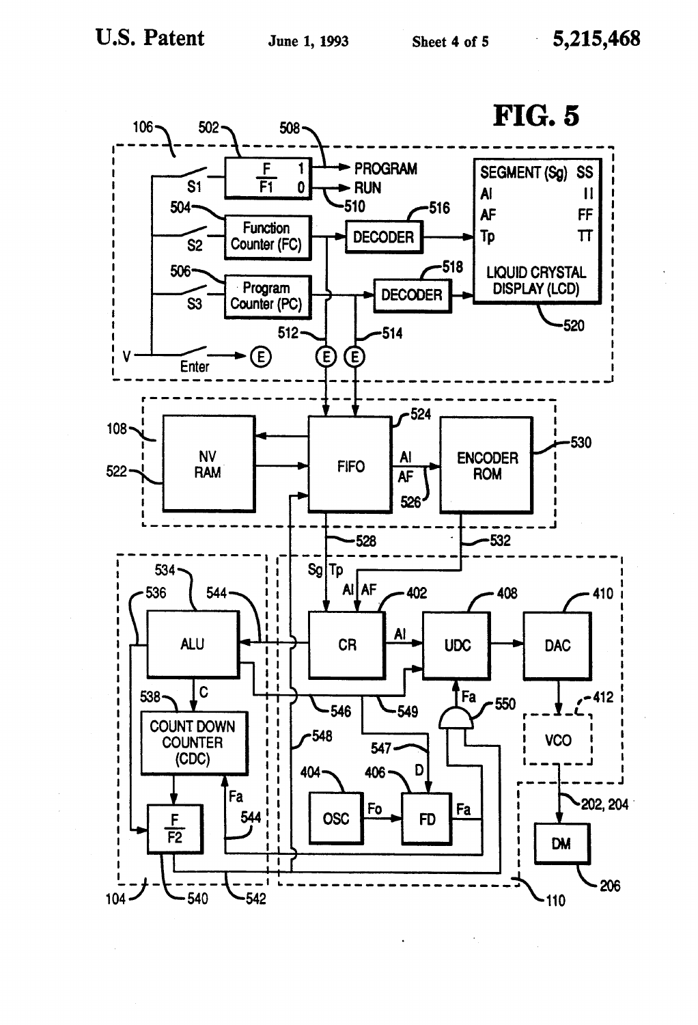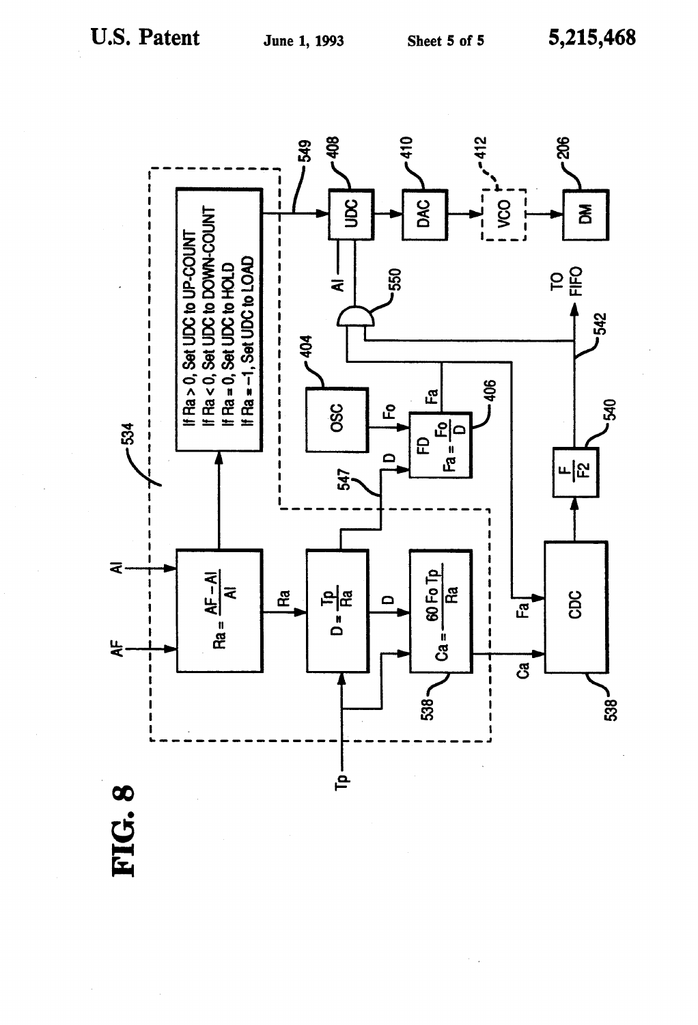

FIG.8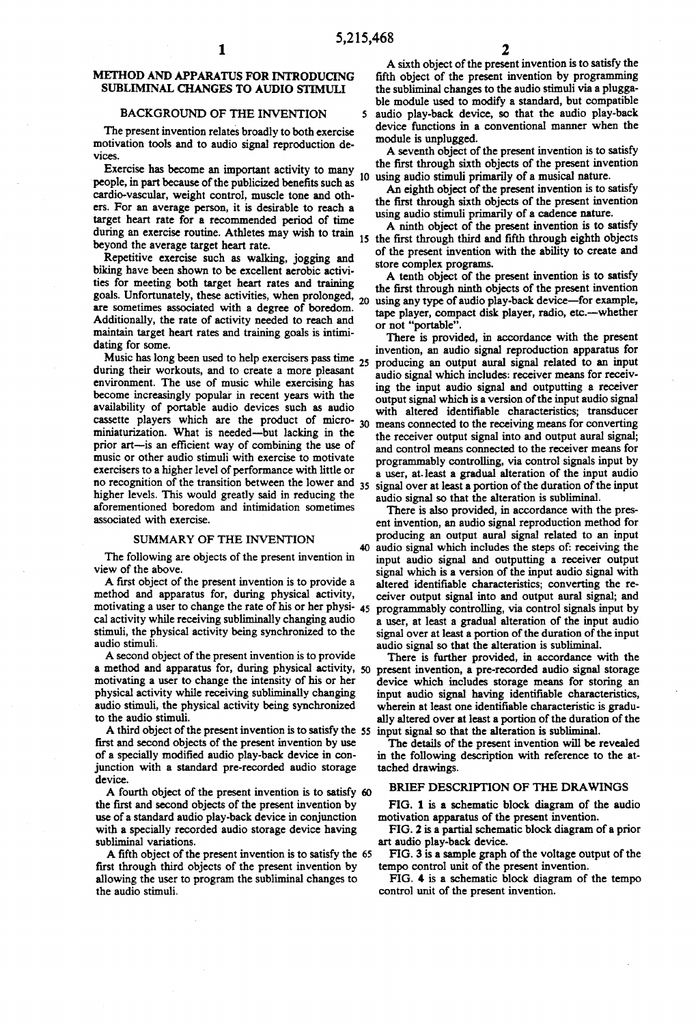## METHOD AND APPARATUS FOR INTRODUCING SUBLIMINAL CHANGES TO AUDIO STMUL

#### BACKGROUND OF THE INVENTION

The present invention relates broadly to both exercise motivation tools and to audio signal reproduction de vices.

Exercise has become an important activity to many people, in part because of the publicized benefits such as cardio-vascular, weight control, muscle tone and oth ers. For an average person, it is desirable to reach a target heart rate for a recommended period of time during an exercise routine. Athletes may wish to train 15 beyond the average target heart rate. 10

Repetitive exercise such as walking, jogging and biking have been shown to be excellent aerobic activities for meeting both target heart rates and training ties for meeting both target heart rates and training<br>goals. Unfortunately, these activities, when prolonged, 20<br> $\frac{1}{2}$ are sometimes associated with a degree of boredom. Additionally, the rate of activity needed to reach and maintain target heart rates and training goals is intimi dating for some.

Music has long been used to help exercisers pass time  $25$ during their workouts, and to create a more pleasant environment. The use of music while exercising has become increasingly popular in recent years with the availability of portable audio devices such as audio cassette players which are the product of micro miniaturization. What is needed-but lacking in the prior art-is an efficient way of combining the use of music or other audio stimuli with exercise to motivate exercisers to a higher level of performance with little or no recognition of the transition between the lower and  $35$ higher levels. This would greatly said in reducing the aforementioned boredom and intimidation sometimes associated with exercise.

#### SUMMARY OF THE INVENTION

The following are objects of the present invention in view of the above.

A first object of the present invention is to provide a method and apparatus for, during physical activity, motivating a user to change the rate of his or her physi-<br>cal activity while receiving subliminally changing audio stimuli, the physical activity being synchronized to the audio stimuli.

A second object of the present invention is to provide<br>a method and apparatus for, during physical activity, 50 motivating a user to change the intensity of his or her physical activity while receiving subliminally changing audio stimuli, the physical activity being synchronized to the audio stimuli.

A third object of the present invention is to satisfy the 55 input signal so that the alteration is subliminal. first and second objects of the present invention by use of a specially modified audio play-back device in con junction with a standard pre-recorded audio storage device.

A fourth object of the present invention is to satisfy the first and second objects of the present invention by use of a standard audio play-back device in conjunction with a specially recorded audio storage device having subliminal variations.

A fifth object of the present invention is to satisfy the 65 first through third objects of the present invention by allowing the user to program the subliminal changes to the audio stimuli.

5,215,468<br>
A sixth object of the present invention is to satisfy the 5 audio play-back device, so that the audio play-back fifth object of the present invention by programming<br>the subliminal changes to the audio stimuli via a plugga-<br>ble module used to modify a standard, but compatible<br>audio play-back device, so that the audio play-back<br>device

module is unplugged.<br>A seventh object of the present invention is to satisfy the first through sixth objects of the present invention

using audio stimuli primarily of a musical nature.<br>An eighth object of the present invention is to satisfy the first through sixth objects of the present invention using audio stimuli primarily of a cadence nature.<br>A ninth object of the present invention is to satisfy

A ninth object of the present invention is to satisfy the first through third and fifth through eighth objects of the present invention with the ability to create and store complex programs.

A tenth object of the present invention is to satisfy the first through ninth objects of the present invention using any type of audio play-back device—for example, tape player, compact disk player, radio, etc.--whether or not "portable".

30 means connected to the receiving means for converting There is provided, in accordance with the present invention, an audio signal reproduction apparatus for producing an output aural signal related to an input audio signal which includes: receiver means for receiving the input audio signal and outputting a receiver output signal which is a version of the input audio signal with altered identifiable characteristics; transducer the receiver output signal into and output aural signal; and control means connected to the receiver means for programmably controlling, via control signals input by a user, at least a gradual alteration of the input audio signal over at least a portion of the duration of the input

audio signal so that the alteration is subliminal.<br>There is also provided, in accordance with the present invention, an audio signal reproduction method for producing an output aural signal related to an input 40 audio signal which includes the steps of: receiving the input audio signal and outputting a receiver output signal which is a version of the input audio signal with altered identifiable characteristics; converting the re ceiver output signal into and output aural signal; and programmably controlling, via control signals input by 45 a user, at least a gradual alteration of the input audio audio signal so that the alteration is subliminal.

There is further provided, in accordance with the present invention, a pre-recorded audio signal storage device which includes storage means for storing an input audio signal having identifiable characteristics, wherein at least one identifiable characteristic is gradually altered over at least a portion of the duration of the

The details of the present invention will be revealed in the following description with reference to the at tached drawings.

#### BRIEF DESCRIPTION OF THE DRAWINGS

FIG. 1 is a schematic block diagram of the audio motivation apparatus of the present invention.

FIG. 2 is a partial schematic block diagram of a prior art audio play-back device.

FIG. 3 is a sample graph of the voltage output of the tempo control unit of the present invention.

FIG, 4 is a schematic block diagram of the tempo control unit of the present invention.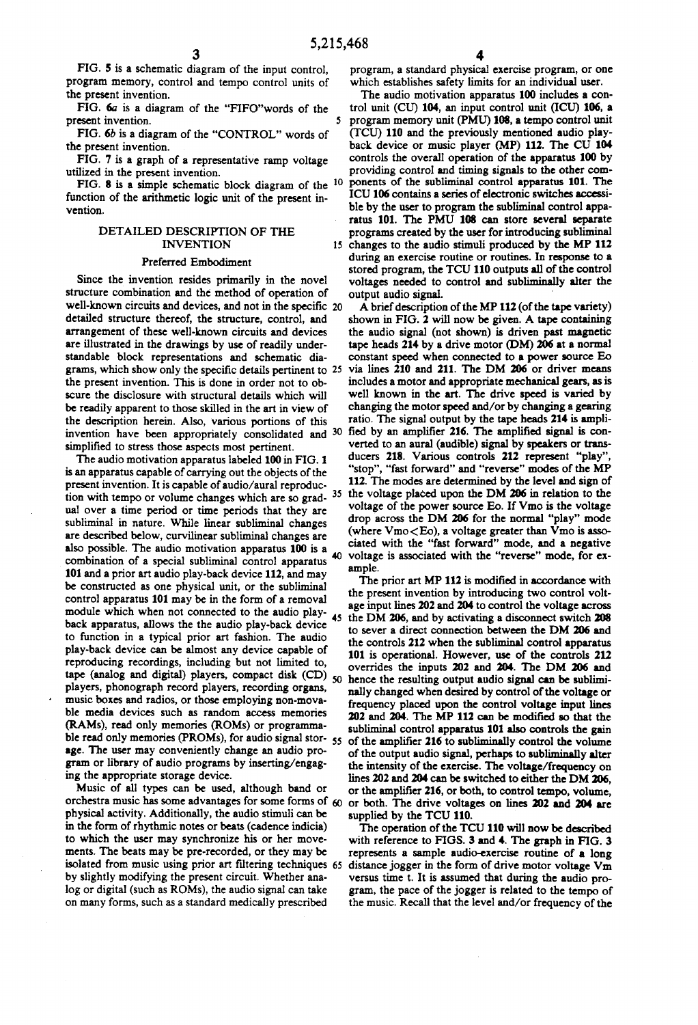FIG. 5 is a schematic diagram of the input control, program memory, control and tempo control units of the present invention.

FIG. 6a is a diagram of the "FIFO'words of the present invention. 5

FIG. 6b is a diagram of the "CONTROL' words of the present invention.

FIG. 7 is a graph of a representative ramp voltage utilized in the present invention.

FIG. 8 is a simple schematic block diagram of the 10 function of the arithmetic logic unit of the present in vention.

### DETAILED DESCRIPTION OF THE INVENTION

#### Preferred Embodiment

Since the invention resides primarily in the novel structure combination and the method of operation of detailed structure thereof, the structure, control, and arrangement of these well-known circuits and devices are illustrated in the drawings by use of readily under standable block representations and schematic dia grams, which show only the specific details pertinent to 25 the present invention. This is done in order not to ob scure the disclosure with structural details which will be readily apparent to those skilled in the art in view of the description herein. Also, various portions of this scure the disclosure with structural details which will<br>be readily apparent to those skilled in the art in view of<br>the description herein. Also, various portions of this<br>the description herein. Also, various portions of th simplified to stress those aspects most pertinent. well-known circuits and devices, and not in the specific 20

The audio motivation apparatus labeled 100 in FIG. 1 is an apparatus capable of carrying out the objects of the present invention. It is capable of audio/aural reproducpresent invention. It is capable of audio/aural reproduction<br>tion with tempo or volume changes which are so grad-<br>ual over a time period or time periods that they are voltage of the power source Eo. If Vmo is the voltage<br>d subliminal in nature. While linear subliminal changes are described below, curvilinear subliminal changes are also possible. The audio motivation apparatus 100 is a 101 and a prior art audio play-back device 112, and may be constructed as one physical unit, or the subliminal control apparatus 101 may be in the form of a removal module which when not connected to the audio playback apparatus, allows the the audio play-back device to function in a typical prior art fashion. The audio play-back device can be almost any device capable of reproducing recordings, including but not limited to, tape (analog and digital) players, compact disk (CD) players, phonograph record players, recording organs, music boxes and radios, or those employing non-mova ble media devices such as random access memories (RAMs), read only memories (ROMs) or programma-(RAMs), read only memories (ROMs) or programmable read only memories (PROMs), for audio signal storage. The user may conveniently change an audio pro gram or library of audio programs by inserting/engaging the appropriate storage device.

Music of all types can be used, although band or orchestra music has some advantages for some forms of 60 physical activity. Additionally, the audio stimuli can be in the form of rhythmic notes or beats (cadence indicia) to which the user may synchronize his or her move ments. The beats may be pre-recorded, or they may be by slightly modifying the present circuit. Whether analog or digital (such as ROMs), the audio signal can take on many forms, such as a standard medically prescribed

program, a standard physical exercise program, or one which establishes safety limits for an individual user.

15 changes to the audio stimuli produced by the MP 112 The audio motivation apparatus 100 includes a con trol unit (CU) 104, an input control unit (ICU) 106, a program memory unit (PMU) 108, a tempo control unit (TCU) 110 and the previously mentioned audio playback device or music player (MP) 112. The CU 104 controls the overall operation of the apparatus 100 by providing control and timing signals to the other components of the subliminal control apparatus 101. The ICU 106 contains a series of electronic switches accessi ble by the user to program the subliminal control appa ratus 101. The PMU 108 can store several separate programs created by the user for introducing subliminal during an exercise routine or routines. In response to a stored program, the TCU 110 outputs all of the control voltages needed to control and subliminally alter the output audio signal.

40 ciated with the "fast forward' mode, and a negative voltage is associated with the "reverse' mode, for ex A brief description of the MP 112 (of the tape variety) shown in FIG. 2 will now be given. A tape containing the audio signal (not shown) is driven past magnetic tape heads 214 by a drive motor (DM) 206 at a normal constant speed when connected to a power source Eo via lines 210 and 211. The DM 206 or driver means includes a motor and appropriate mechanical gears, as is verted to an aural (audible) signal by speakers or trans ducers 218. Various controls 212 represent "play" "stop", "fast forward' and "reverse" modes of the MP 112. The modes are determined by the level and sign of voltage of the power source Eo. If Vimo is the voltage drop across the DM 206 for the normal "play" mode (where  $V_{\text{mo}}$   $\lt$  Eo), a voltage greater than  $\bar{V}_{\text{mo}}$  is associated with the "fast forward" mode, and a negative ample.

The prior art MP 112 is modified in accordance with the present invention by introducing two control volt age input lines 202 and 204 to control the voltage across 45 the DM 206, and by activating a disconnect switch 208 to sever a direct connection between the DM 206 and the controls 212 when the subliminal control apparatus 101 is operational. However, use of the controls 212 overrides the inputs 202 and 204. The DM 206 and overrides the inputs 202 and 204. The DM 206 and hence the resulting output audio signal can be sublini nally changed when desired by control of the voltage or frequency placed upon the control voltage input lines 202 and 204. The MP 112 can be modified so that the of the amplifier 216 to subliminally control the volume of the output audio signal, perhaps to subliminally alter the intensity of the exercise. The voltage/frequency on lines 202 and 204 can be switched to either the DM 206. or the amplifier 216, or both, to control tempo, volume, or both. The drive voltages on lines 202 and 204 are supplied by the TCU 110.

represents a sample audio-exercise routine or a long<br>65 distance jogger in the form of drive motor voltage Vm The operation of the TCU 110 will now be described with reference to FIGS. 3 and 4. The graph in FIG. 3 represents a sample audio-exercise routine of a long versus time t. It is assumed that during the audio pro gram, the pace of the jogger is related to the tempo of the music. Recall that the level and/or frequency of the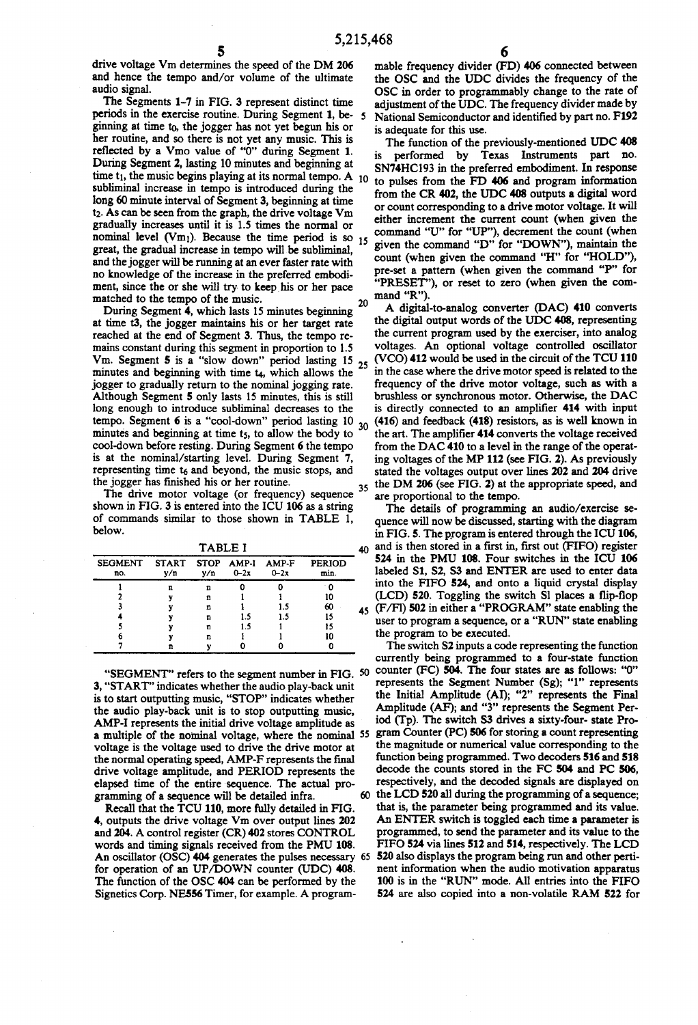drive voltage Vm determines the speed of the DM 206 and hence the tempo and/or volume of the ultimate audio signal.<br>The Segments 1-7 in FIG. 3 represent distinct time

periods in the exercise routine. During Segment 1, be ginning at time to, the jogger has not yet begun his or her routine, and so there is not yet any music. This is reflected by a Vmo value of "0" during Segment 1. During Segment 2, lasting 10 minutes and beginning at time  $t_1$ , the music begins playing at its normal tempo. A  $10$ subliminal increase in tempo is introduced during the long 60 minute interval of Segment 3, beginning at time t2. As can be seen from the graph, the drive voltage Vm gradually increases until it is 1.5 times the normal or nominal level  $(\forall m_1)$ . Because the time period is so  $_{15}$ great, the gradual increase in tempo will be subliminal, and the jogger will be running at an ever faster rate with no knowledge of the increase in the preferred embodi 20

matched to the tempo of the music.<br>During Segment 4, which lasts 15 minutes beginning at time t3, the jogger maintains his or her target rate reached at the end of Segment 3. Thus, the tempo re mains constant during this segment in proportion to 1.5 Vm. Segment 5 is a "slow down" period lasting  $15_{25}$ <br>minutes and haziming with time to write allows the minutes and beginning with time t<sub>4</sub>, which allows the jogger to gradually return to the nominal jogging rate. Although Segment 5 only lasts 15 minutes, this is still long enough to introduce subliminal decreases to the tempo. Segment 6 is a "cool-down' period lasting 10 minutes and beginning at time t<sub>5</sub>, to allow the body to cool-down before resting. During Segment 6 the tempo is at the nominal/starting level. During Segment 7, representing time  $t_6$  and beyond, the music stops, and the jogger has finished his or her routine. 30

the jogger has finished his or her routine.<br>The drive motor voltage (or frequency) sequence 35 shown in FIG. 3 is entered into the ICU 106 as a string of commands similar to those shown in TABLE 1, below.

| , , , , , , ,                         |     |     |          |        |                       |  |  |
|---------------------------------------|-----|-----|----------|--------|-----------------------|--|--|
| SEGMENT START STOP AMP-I AMP-F<br>no. | y/n | v/n | $0 - 2x$ | $0-2x$ | <b>PERIOD</b><br>min. |  |  |
|                                       | п   | n   |          |        |                       |  |  |
|                                       |     | n   |          |        | 10                    |  |  |
|                                       |     | n   |          |        | 60                    |  |  |
|                                       |     | n   | 1.5      | 1.5    | 15                    |  |  |
|                                       |     | n   | 1.5      |        |                       |  |  |
|                                       |     | n   |          |        | 10                    |  |  |
|                                       |     |     |          |        |                       |  |  |

"SEGMENT" refers to the segment number in FIG. 50 3, "START" indicates whether the audio play-back unit is to start outputting music, "STOP' indicates whether the audio play-back unit is to stop outputting music, AMP-I represents the initial drive voltage amplitude as a multiple of the nominal voltage, where the nominal <sup>55</sup> voltage is the voltage used to drive the drive motor at the normal operating speed, AMP-F represents the final drive voltage amplitude, and PERIOD represents the elapsed time of the entire sequence. The actual programming of a sequence will be detailed infra. 60

Recall that the TCU 110, more fully detailed in FIG. 4, outputs the drive voltage Vim over output lines 202 and 204. A control register (CR) 402 stores CONTROL words and timing signals received from the PMU 108. for operation of an UP/DOWN counter (UDC) 408. The function of the OSC 404 can be performed by the Signetics Corp. NE556 Timer, for example. A program

mable frequency divider (FD) 406 connected between the OSC and the UDC divides the frequency of the OSC in order to programmably change to the rate of adjustment of the UDC. The frequency divider made by National Semiconductor and identified by part no. F192 is adequate for this use.

The function of the previously-mentioned UDC 408 is performed by Texas Instruments part no. SN74HC193 in the preferred embodiment. In response to pulses from the FD 406 and program information from the CR 402, the UDC 408 outputs a digital word or count corresponding to a drive motor voltage. It will either increment the current count (when given the command "U" for "UP"), decrement the count (when given the command "D" for "DOWN"), maintain the count (when given the command "H" for "HOLD"), pre-set a pattern (when given the command "P" for "PRESET"), or reset to zero (when given the command "R").

A digital-to-analog converter (DAC) 410 converts<br>the digital output words of the UDC 408, representing the current program used by the exerciser, into analog voltages. An optional voltage controlled oscillator (VCO)412 would be used in the circuit of the TCU 110 in the case where the drive motor speed is related to the frequency of the drive motor voltage, such as with a brushless or synchronous motor. Otherwise, the DAC is directly connected to an amplifier 414 with input (416) and feedback (418) resistors, as is well known in the art. The amplifier 414 converts the voltage received<br>from the DAC 410 to a level in the range of the operating voltages of the MP 112 (see FIG. 2). As previously stated the voltages output over lines 202 and 204 drive the DM 206 (see FIG. 2) at the appropriate speed, and are proportional to the tempo.

 $_{45}$  (F/FI) 502 in either a "PROGRAM" state enabling the The details of programming an audio/exercise sequence will now be discussed, starting with the diagram in FIG. 5. The program is entered through the ICU 106,  $\Delta$ n and is then stored in a first in, first out (FIFO) register 524 in the PMU 108. Four switches in the ICU 106 labeled S1, S2, S3 and ENTER are used to enter data into the FIFO 524, and onto a liquid crystal display (LCD) 520. Toggling the switch Sl places a flip-flop user to program a sequence, or a "RUN" state enabling the program to be executed.

An oscillator (OSC) 404 generates the pulses necessary 65 520 also displays the program being run and other perti The switch S2 inputs a code representing the function currently being programmed to a four-state function counter (FC) 504. The four states are as follows: "O" represents the Segment Number (Sg); "1" represents the Initial Amplitude (AI); "2" represents the Final Amplitude (AF); and "3" represents the Segment Per iod (Tp). The switch S3 drives a sixty-four-state Program Counter (PC) 506 for storing a count representing the magnitude or numerical value corresponding to the function being programmed. Two decoders 516 and 518 decode the counts stored in the FC 504 and PC 506. respectively, and the decoded signals are displayed on the LCD 520 all during the programming of a sequence; that is, the parameter being programmed and its value. An ENTER switch is toggled each time a parameter is programmed, to send the parameter and its value to the FIFO 524 via lines 512 and 514, respectively. The LCD nent information when the audio motivation apparatus 100 is in the "RUN' mode. All entries into the FFO 524 are also copied into a non-volatile RAM 522 for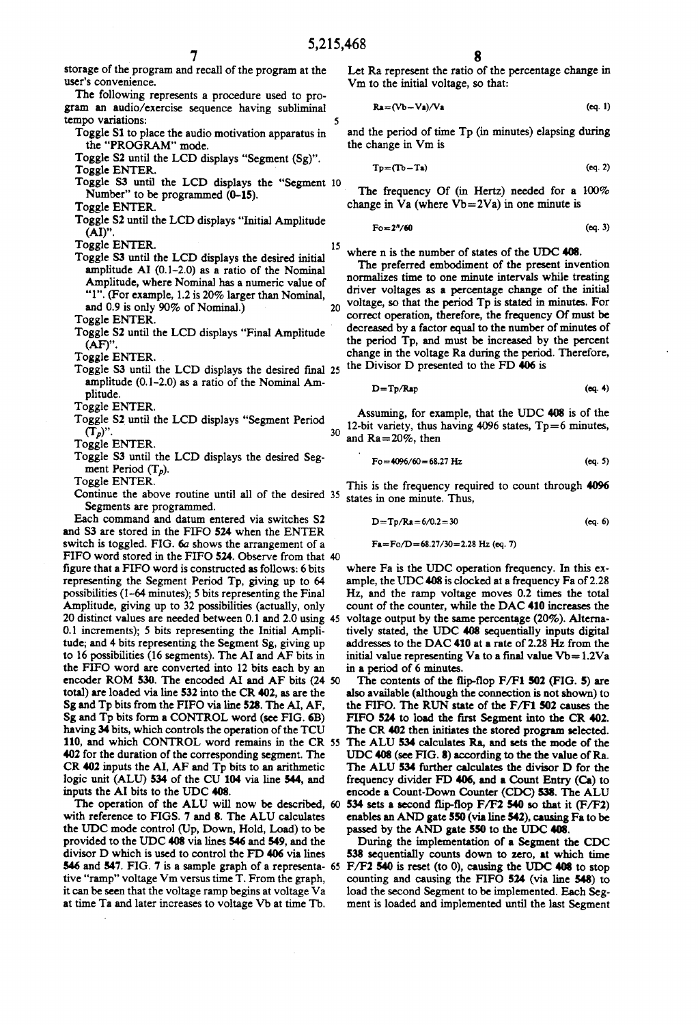5

15

30

storage of the program and recall of the program at the user's convenience.

The following represents a procedure used to pro gram an audio/exercise sequence having subliminal tempo variations:

Toggle S1 to place the audio motivation apparatus in the "PROGRAM' mode.

Toggle S2 until the LCD displays "Segment (Sg)'. Toggle ENTER.

Toggle S3 until the LCD displays the "Segment 10<br>Number" to be programmed (0-15).<br>Toggle ENTER.

- Toggle S2 until the LCD displays "Initial Amplitude
- Toggle ENTER.
- Toggle S3 until the LCD displays the desired initial amplitude AI  $(0.1-2.0)$  as a ratio of the Nominal Amplitude, where Nominal has a numeric value of "l". (For example, 1.2 is 20% larger than Nominal, and 0.9 is only 90% of Nominal.) Toggle ENTER.

Toggle S2 until the LCD displays "Final Amplitude

Toggle ENTER.

Toggle S3 until the LCD displays the desired final 25 amplitude  $(0.1-2.0)$  as a ratio of the Nominal Amplitude.

Toggle ENTER.

Toggle S2 until the LCD displays "Segment Period  $(T_p)$ ".

Toggle ENTER.

Toggle S3 until the LCD displays the desired Segment Period  $(T_p)$ .

Toggle ENTER.

Continue the above routine until all of the desired 35 Segments are programmed.

Each command and datum entered via switches S2 and S3 are stored in the FIFO 524 when the ENTER switch is toggled. FIG. 6a shows the arrangement of a FIFO word stored in the FIFO 524. Observe from that 40 figure that a FIFO word is constructed as follows: 6 bits representing the Segment Period Tp, giving up to 64 possibilities (1-64 minutes); 5 bits representing the Final Amplitude, giving up to 32 possibilities (actually, only 0.1 increments); 5 bits representing the Initial Amplitude; and 4 bits representing the Segment Sg, giving up to 16 possibilities (16 segments). The AI and AF bits in the FIFO word are converted into 12 bits each by an encoder ROM 530. The encoded AI and AF bits (24 50) total) are loaded via line 532 into the CR 402, as are the Sg and Tp bits from the FIFO via line 528. The AI, AF, Sg and Tp bits form a CONTROL word (see FIG. 6B) having 34 bits, which controls the operation of the TCU 110, and which CONTROL word remains in the CR 55 402 for the duration of the corresponding segment. The CR 402 inputs the AI, AF and Tp bits to an arithmetic logic unit (ALU) 534 of the CU 104 via line 544, and inputs the AI bits to the UDC 408. 20 distinct values are needed between 0.1 and 2.0 using 45

with reference to FIGS. 7 and 8. The ALU calculates the UDC mode control (Up, Down, Hold, Load) to be provided to the UDC 408 via lines 546 and 549, and the divisor D which is used to control the FD 406 via lines tive "ramp" voltage Vm versus time T. From the graph, it can be seen that the voltage ramp begins at voltage Va at time Ta and later increases to voltage Vb at time Tb. 546 and 547. FIG. 7 is a sample graph of a representa- 65 F/F2 540 is reset (to 0), causing the UDC 408 to stop

Let Ra represent the ratio of the percentage change in Vm to the initial voltage, so that:

$$
Ra = (Vb - Va)/Va \qquad (eq. 1)
$$

and the period of time Tp (in minutes) elapsing during the change in Vm is

$$
Tp = (Tb - Ta) \tag{eq. 2}
$$

The frequency Of (in Hertz) needed for a 100% change in Va (where  $Vb=2Va$ ) in one minute is

$$
F \circ \mathbf{m} \cdot \mathbf{2}^n / 60 \tag{eq. 3}
$$

where n is the number of states of the UDC 408.

The preferred embodiment of the present invention normalizes time to one minute intervals while treating driver voltages as a percentage change of the initial voltage, so that the period Tp is stated in minutes. For correct operation, therefore, the frequency Of must be decreased by a factor equal to the number of minutes of the period Tp, and must be increased by the percent change in the voltage Ra during the period. Therefore, the Divisor D presented to the FD 406 is

$$
D = Tp/Rap
$$
 (eq. 4)

Assuming, for example, that the UDC 408 is of the 12-bit variety, thus having 4096 states,  $T_p=6$  minutes, and  $Ra = 20\%$ , then

$$
Fo = 4096/60 = 68.27 Hz
$$
 (eq. 5)

This is the frequency required to count through 4096 states in one minute. Thus,

$$
D = Tp/Ra = 6/0.2 = 30
$$
 (eq. 6)

Fa=Fo/D=68.27/30=2.28 Hz (eq. 7)

where Fa is the UDC operation frequency. In this ex ample, the UDC 408 is clocked at a frequency Fa of 2.28 Hz, and the ramp voltage moves 0.2 times the total count of the counter, while the DAC 410 increases the voltage output by the same percentage (20%). Alterna tively stated, the UDC 408 sequentially inputs digital addresses to the DAC 410 at a rate of 2.28 Hz from the initial value representing Va to a final value  $Vb = 1.2Va$ in a period of 6 minutes.

The contents of the flip-flop F/F1 502 (FIG. 5) are also available (although the connection is not shown) to the FIFO. The RUN state of the F/F1 502 causes the FIFO 524 to load the first Segment into the CR 402. The CR 402 then initiates the stored program selected. The ALU 534 calculates Ra, and sets the mode of the UDC 408 (see FIG. 8) according to the the value of Ra. The ALU 534 further calculates the divisor D for the frequency divider FD 406, and a Count Entry (Ca) to encode a Count-Down Counter (CDC) S38. The ALU The operation of the ALU will now be described, 60 534 sets a second flip-flop  $F/F2$  540 so that it  $(F/F2)$ enables an AND gate 550 (via line 542), causing Fa to be passed by the AND gate 550 to the UDC 408.

> During the implementation of a Segment the CDC 538 sequentially counts down to zero, at which time counting and causing the FIFO 524 (via line 548) to load the second Segment to be implemented. Each Seg ment is loaded and implemented until the last Segment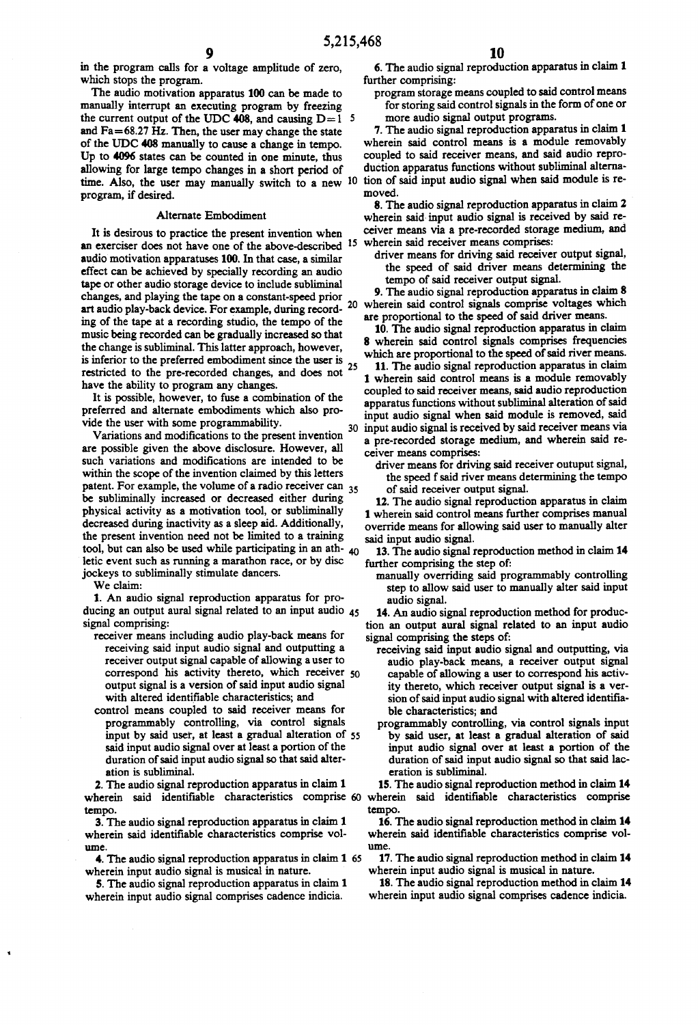5,215,468<br>9<br>in the program calls for a voltage amplitude of zero, 6.

in the program calls for a voltage amplitude of zero,<br>which stops the program.<br>The audio motivation apparatus 100 can be made to<br>manually interrupt an executing program by freezing<br>the current output of the UDC 408, and c and Fa=68.27 Hz. Then, the user may change the state of the UDC 408 manually to cause a change in tempo.<br>Up to 4096 states can be counted in one minute, thus allowing for large tempo changes in a short period of time. Also, the user may manually switch to a new  $10$ program, if desired.

#### Alternate Embodiment

It is desirous to practice the present invention when an exerciser does not have one of the above-described audio motivation apparatuses 100. In that case, a similar effect can be achieved by specially recording an audio<br>tape or other audio storage device to include subliminal changes, and playing the tape on a constant-speed prior art audio play-back device. For example, during record ing of the tape at a recording studio, the tempo of the music being recorded can be gradually increased so that the change is subliminal. This latter approach, however, is inferior to the preferred embodiment since the user is restricted to the pre-recorded changes, and does not  $25$ have the ability to program any changes. 15

It is possible, however, to fuse a combination of the preferred and alternate embodiments which also pro-

vide the user with some programmability.<br>Variations and modifications to the present invention are possible given the above disclosure. However, all such variations and modifications are intended to be within the scope of the invention claimed by this letters patent. For example, the volume of a radio receiver can <sub>35</sub> be subliminally increased or decreased either during physical activity as a motivation tool, or subliminally decreased during inactivity as a sleep aid. Additionally, the present invention need not be limited to a training tool, but can also be used while participating in an ath- $_{40}$ letic event such as running a marathon race, or by disc jockeys to subliminally stimulate dancers.

We claim:<br>1. An audio signal reproduction apparatus for pro-1. An audio signal reproduction apparatus for producing an output aural signal related to an input audio signal comprising: 45

- receiver means including audio play-back means for receiving said input audio signal and outputting a receiver output signal capable of allowing a user to correspond his activity thereto, which receiver 50 output signal is a version of said input audio signal with altered identifiable characteristics; and
- control means coupled to said receiver means for programmably controlling, via control signals input by said user, at least a gradual alteration of 55 said input audio signal over at least a portion of the duration of said input audio signal so that said alter ation is subliminal.

2. The audio signal reproduction apparatus in claim 1 wherein said identifiable characteristics comprise of wherein said identifiable characteristics comprise

tempo. 3. The audio signal reproduction apparatus in claim 1 wherein said identifiable characteristics comprise vol ume

4. The audio signal reproduction apparatus in claim 1 65 wherein input audio signal is musical in nature.

5. The audio signal reproduction apparatus in claim 1 wherein input audio signal comprises cadence indicia.

6. The audio signal reproduction apparatus in claim 1 further comprising:

program storage means coupled to said control means for storing said control signals in the form of one or more audio signal output programs.

7. The audio signal reproduction apparatus in claim 1 wherein said control means is a module removably coupled to said receiver means, and said audio reproduction apparatus functions without subliminal alternation of said input audio signal when said module is re moved.

8. The audio signal reproduction apparatus in claim 2 wherein said input audio signal is received by said re ceiver means via a pre-recorded storage medium, and

driver means for driving said receiver output signal, the speed of said driver means determining the tempo of said receiver output signal.

20 wherein said control signals comprise voltages which 9. The audio signal reproduction apparatus in claim 8. are proportional to the speed of said driver means.

10. The audio signal reproduction apparatus in claim<br>8 wherein said control signals comprises frequencies which are proportional to the speed of said river means.

30 input audio signal is received by said receiver means via 11. The audio signal reproduction apparatus in claim<br>1 wherein said control means is a module removably coupled to said receiver means, said audio reproduction apparatus functions without subliminal alteration of said input audio signal when said module is removed, said a pre-recorded storage medium, and wherein said re

driver means for driving said receiver outuput signal,<br>the speed f said river means determining the tempo<br>of said receiver output signal.<br>12. The audio signal reproduction apparatus in claim

1 wherein said control means further comprises manual override means for allowing said user to manually alter

13. The audio signal reproduction method in claim 14 further comprising the step of:

manually overriding said programmably controlling<br>step to allow said user to manually alter said input

step to allow said user allow said in put audio signal reproduction method for production an output aural signal related to an input audio an input audio signal comprising the steps of:

- receiving said input audio signal and outputting, via<br>audio play-back means, a receiver output signal capable of allowing a user to correspond his activity thereto, which receiver output signal is a ver sion of said input audio signal with altered identifia ble characteristics; and
- programmably controlling, via control signals input by said user, at least a gradual alteration of said input audio signal over at least a portion of the duration of said input audio signal so that said lac eration is subliminal.

15. The audio signal reproduction method in claim 14 tempo.

16. The audio signal reproduction method in claim 14 wherein said identifiable characteristics comprise vol ume

17. The audio signal reproduction method in claim 14 wherein input audio signal is musical in nature.

18. The audio signal reproduction method in claim 14 wherein input audio signal comprises cadence indicia.

10